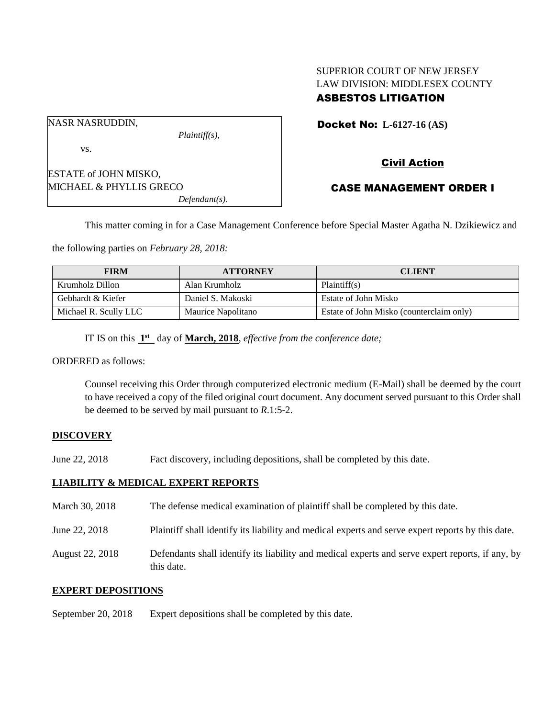### SUPERIOR COURT OF NEW JERSEY LAW DIVISION: MIDDLESEX COUNTY ASBESTOS LITIGATION

NASR NASRUDDIN,

vs.

ESTATE of JOHN MISKO, MICHAEL & PHYLLIS GRECO *Defendant(s).* Docket No: **L-6127-16 (AS)** 

# Civil Action

### CASE MANAGEMENT ORDER I

This matter coming in for a Case Management Conference before Special Master Agatha N. Dzikiewicz and

the following parties on *February 28, 2018:*

| <b>FIRM</b>           | <b>ATTORNEY</b>    | <b>CLIENT</b>                            |
|-----------------------|--------------------|------------------------------------------|
| Krumholz Dillon       | Alan Krumholz      | Plaintiff(s)                             |
| Gebhardt & Kiefer     | Daniel S. Makoski  | Estate of John Misko                     |
| Michael R. Scully LLC | Maurice Napolitano | Estate of John Misko (counterclaim only) |

IT IS on this  $1<sup>st</sup>$  day of **March, 2018**, *effective from the conference date*;

*Plaintiff(s),*

ORDERED as follows:

Counsel receiving this Order through computerized electronic medium (E-Mail) shall be deemed by the court to have received a copy of the filed original court document. Any document served pursuant to this Order shall be deemed to be served by mail pursuant to *R*.1:5-2.

#### **DISCOVERY**

June 22, 2018 Fact discovery, including depositions, shall be completed by this date.

#### **LIABILITY & MEDICAL EXPERT REPORTS**

March 30, 2018 The defense medical examination of plaintiff shall be completed by this date.

June 22, 2018 Plaintiff shall identify its liability and medical experts and serve expert reports by this date.

August 22, 2018 Defendants shall identify its liability and medical experts and serve expert reports, if any, by this date.

#### **EXPERT DEPOSITIONS**

September 20, 2018 Expert depositions shall be completed by this date.